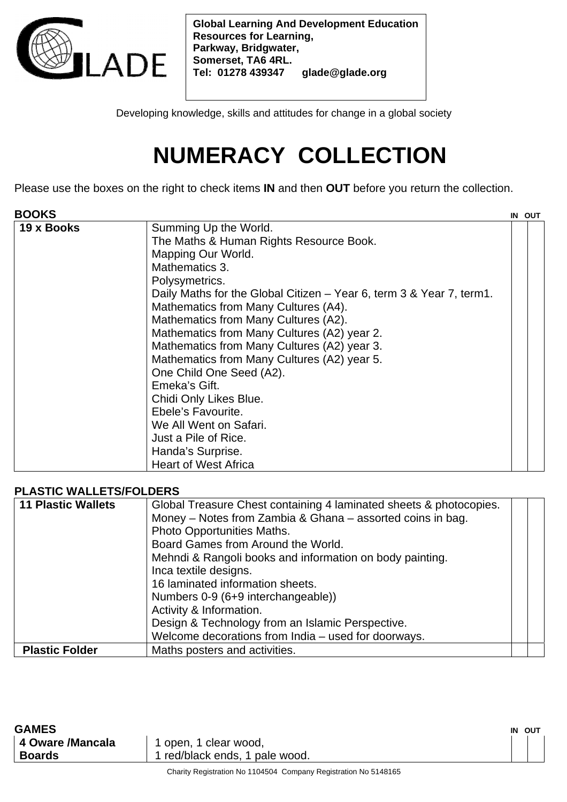

**Global Learning And Development Education Resources for Learning, Parkway, Bridgwater, Somerset, TA6 4RL. Tel: 01278 439347 glade@glade.org** 

Developing knowledge, skills and attitudes for change in a global society

## **NUMERACY COLLECTION**

Please use the boxes on the right to check items **IN** and then **OUT** before you return the collection.

| Summing Up the World.<br>19 x Books<br>The Maths & Human Rights Resource Book.<br>Mapping Our World.<br>Mathematics 3.<br>Polysymetrics.<br>Daily Maths for the Global Citizen – Year 6, term 3 & Year 7, term1.<br>Mathematics from Many Cultures (A4).<br>Mathematics from Many Cultures (A2).<br>Mathematics from Many Cultures (A2) year 2.<br>Mathematics from Many Cultures (A2) year 3.<br>Mathematics from Many Cultures (A2) year 5.<br>One Child One Seed (A2).<br>Emeka's Gift.<br>Chidi Only Likes Blue.<br>Ebele's Favourite.<br>We All Went on Safari.<br>Just a Pile of Rice.<br>Handa's Surprise. |
|-------------------------------------------------------------------------------------------------------------------------------------------------------------------------------------------------------------------------------------------------------------------------------------------------------------------------------------------------------------------------------------------------------------------------------------------------------------------------------------------------------------------------------------------------------------------------------------------------------------------|
| <b>Heart of West Africa</b>                                                                                                                                                                                                                                                                                                                                                                                                                                                                                                                                                                                       |

## **PLASTIC WALLETS/FOLDERS**

| <b>11 Plastic Wallets</b> | Global Treasure Chest containing 4 laminated sheets & photocopies.<br>Money - Notes from Zambia & Ghana - assorted coins in bag.<br>Photo Opportunities Maths.<br>Board Games from Around the World. |  |
|---------------------------|------------------------------------------------------------------------------------------------------------------------------------------------------------------------------------------------------|--|
|                           | Mehndi & Rangoli books and information on body painting.<br>Inca textile designs.<br>16 laminated information sheets.<br>Numbers 0-9 (6+9 interchangeable))                                          |  |
|                           | Activity & Information.<br>Design & Technology from an Islamic Perspective.<br>Welcome decorations from India - used for doorways.                                                                   |  |
| <b>Plastic Folder</b>     | Maths posters and activities.                                                                                                                                                                        |  |